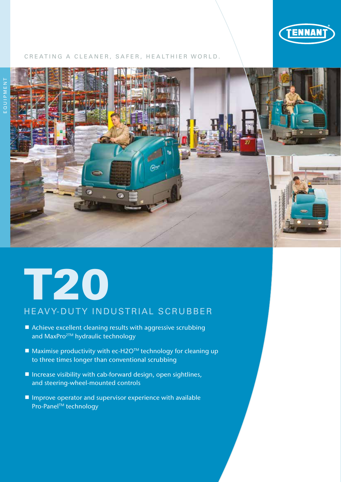

## CREATING A CLEANER, SAFER, HEALTHIER WORLD.



# T20

# HEAVY-DUTY INDUSTRIAL SCRUBBER

- Achieve excellent cleaning results with aggressive scrubbing and MaxPro<sup>2™</sup> hydraulic technology
- $\blacksquare$  Maximise productivity with ec-H2O<sup>TM</sup> technology for cleaning up to three times longer than conventional scrubbing
- $\blacksquare$  Increase visibility with cab-forward design, open sightlines, and steering-wheel-mounted controls
- $\blacksquare$  Improve operator and supervisor experience with available Pro-Panel™ technology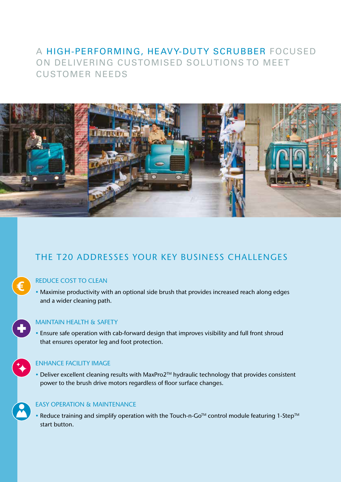# A HIGH-PERFORMING, HEAVY-DUTY SCRUBBER FOCUSED ON DELIVERING CUSTOMISED SOLUTIONS TO MEET CUSTOMER NEEDS



# THE T20 ADDRESSES YOUR KEY BUSINESS CHALLENGES

## REDUCE COST TO CLEAN

€

• Maximise productivity with an optional side brush that provides increased reach along edges and a wider cleaning path.

## MAINTAIN HEALTH & SAFETY

• Ensure safe operation with cab-forward design that improves visibility and full front shroud that ensures operator leg and foot protection.

## ENHANCE FACILITY IMAGE

• Deliver excellent cleaning results with MaxPro2<sup>™</sup> hydraulic technology that provides consistent power to the brush drive motors regardless of floor surface changes.

## EASY OPERATION & MAINTENANCE

• Reduce training and simplify operation with the Touch-n-Go<sup>TM</sup> control module featuring 1-Step<sup>TM</sup> start button.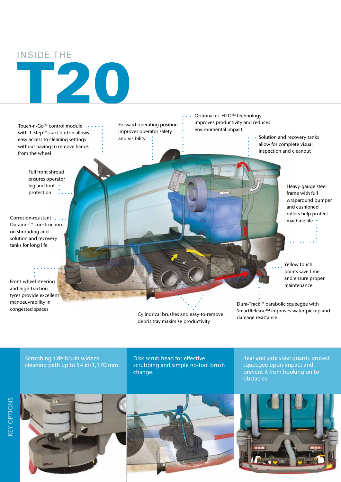## INSIDE THE

Touch-n-Go<sup>TM</sup> control module  $\cdots$ with 1-Step™ start button allows easy access to cleaning settings without having to remove hands from the wheel

T20

Full front shroud ensures operator leg and foot • protection

Corrosion-resistant ... Duramer<sup>™</sup> construction on shrouding and solution and recovery tanks for long life

Front-wheel steering and high-traction tyres provide excellent manoeuvrability in congested spaces

Forward operating position improves operator safety and visibility

Optional ec-H2O™ technology improves productivity and reduces environmental impact

- Solution and recovery tanks
- allow for complete visual inspection and cleanout

Heavy-gauge steel frame with full wraparound bumper and cushioned rollers help protect machine life •

Yellow touch points save time and ensure proper maintenance

Cylindrical brushes and easy-to-remove debris tray maximise productivity

Dura-Track™ parabolic squeegee with SmartRelease™ improves water pickup and damage resistance

Scrubbing side brush widens cleaning path up to 54 in/1,370 mm. Disk scrub head for effective scrubbing and simple no-tool brush change.

Rear and side steel guards protect squeegee upon impact and prevent it from hooking on to obstacles.





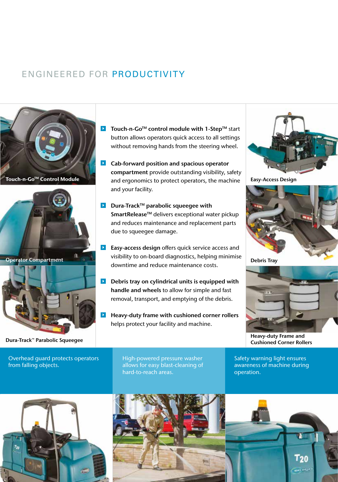# ENGINEERED FOR PRODUCTIVITY



Dura-Track™ Parabolic Squeegee

Overhead guard protects operators from falling objects.

- ▶ Touch-n-Go<sup>TM</sup> control module with 1-Step<sup>TM</sup> start button allows operators quick access to all settings without removing hands from the steering wheel.
- **Cab-forward position and spacious operator** compartment provide outstanding visibility, safety Touch-n-Go<sup>™</sup> Control Module and ergonomics to protect operators, the machine Easy-Access Design and your facility.
	- **D** Dura-Track<sup>TM</sup> parabolic squeegee with SmartRelease™ delivers exceptional water pickup and reduces maintenance and replacement parts due to squeegee damage.
	- **Easy-access design** offers quick service access and visibility to on-board diagnostics, helping minimise downtime and reduce maintenance costs.
	- $\triangleright$  Debris tray on cylindrical units is equipped with handle and wheels to allow for simple and fast removal, transport, and emptying of the debris.
	- Heavy-duty frame with cushioned corner rollers  $\blacktriangleright$ helps protect your facility and machine.





Debris Tray



Heavy-duty Frame and Cushioned Corner Rollers

High-powered pressure washer allows for easy blast-cleaning of hard-to-reach areas.

Safety warning light ensures awareness of machine during operation.



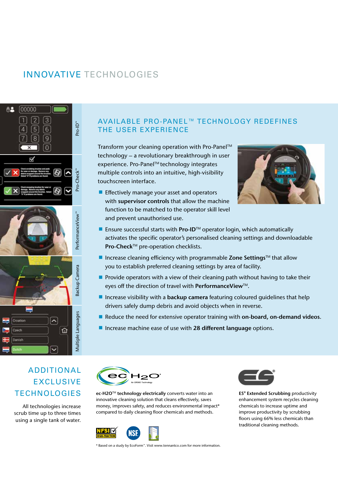# INNOVATIVE TECHNOLOGIES



## AVAILABLE PRO-PANEL™ TECHNOLOGY REDEFINES THE USER EXPERIENCE

Transform your cleaning operation with Pro-Panel™ technology – a revolutionary breakthrough in user experience. Pro-Panel™ technology integrates multiple controls into an intuitive, high-visibility touchscreen interface.

**Effectively manage your asset and operators** with supervisor controls that allow the machine function to be matched to the operator skill level and prevent unauthorised use.



- Ensure successful starts with  $Pro-ID<sup>TM</sup>$  operator login, which automatically activates the specific operator's personalised cleaning settings and downloadable Pro-Check™ pre-operation checklists.
- Increase cleaning efficiency with programmable Zone Settings<sup>TM</sup> that allow you to establish preferred cleaning settings by area of facility.
- **Provide operators with a view of their cleaning path without having to take their** eyes off the direction of travel with **PerformanceView**™.
- Increase visibility with a **backup camera** featuring coloured guidelines that help drivers safely dump debris and avoid objects when in reverse.
- Reduce the need for extensive operator training with on-board, on-demand videos.
- Increase machine ease of use with 28 different language options.

# ADDITIONAL EXCLUSIVE **TECHNOLOGIES**

All technologies increase scrub time up to three times using a single tank of water.



ec-H2O™ technology electrically converts water into an innovative cleaning solution that cleans effectively, saves money, improves safety, and reduces environmental impact\* compared to daily cleaning floor chemicals and methods.



\* Based on a study by EcoForm™. Visit www.tennantco.com for more information.



ES® Extended Scrubbing productivity enhancement system recycles cleaning chemicals to increase uptime and improve productivity by scrubbing floors using 66% less chemicals than traditional cleaning methods.